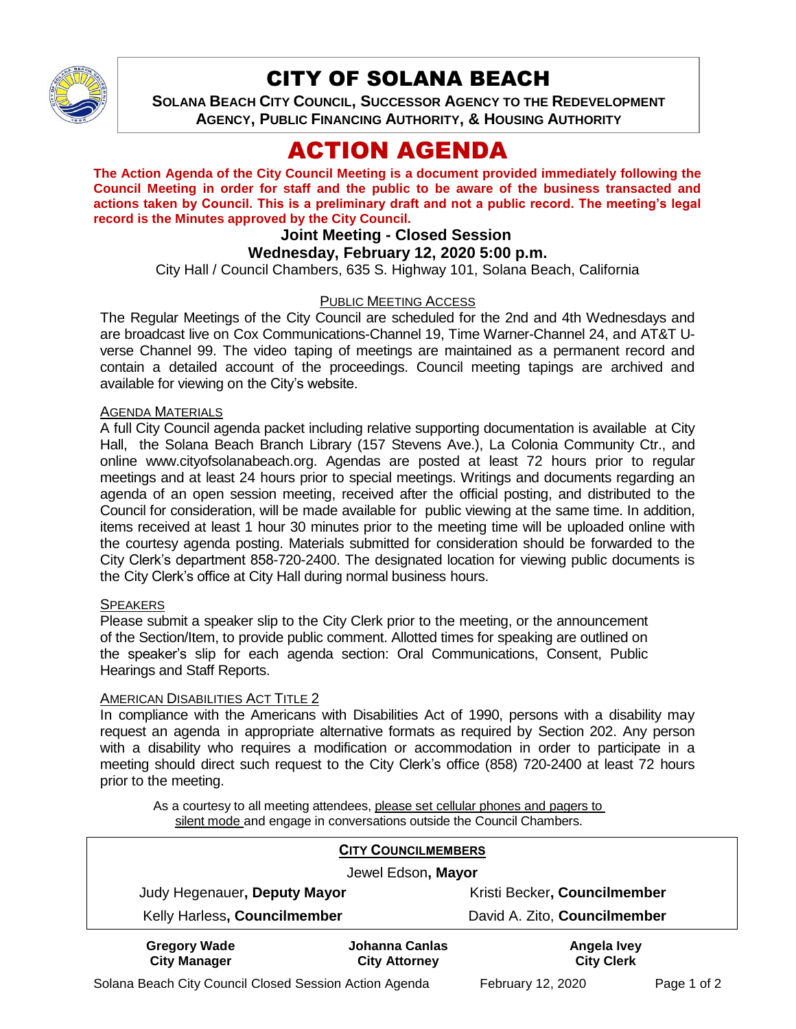

# CITY OF SOLANA BEACH

**SOLANA BEACH CITY COUNCIL, SUCCESSOR AGENCY TO THE REDEVELOPMENT AGENCY, PUBLIC FINANCING AUTHORITY, & HOUSING AUTHORITY**

# ACTION AGENDA

**The Action Agenda of the City Council Meeting is a document provided immediately following the Council Meeting in order for staff and the public to be aware of the business transacted and actions taken by Council. This is a preliminary draft and not a public record. The meeting's legal record is the Minutes approved by the City Council.**

# **Joint Meeting - Closed Session**

## **Wednesday, February 12, 2020 5:00 p.m.**

City Hall / Council Chambers, 635 S. Highway 101, Solana Beach, California

## PUBLIC MEETING ACCESS

The Regular Meetings of the City Council are scheduled for the 2nd and 4th Wednesdays and are broadcast live on Cox Communications-Channel 19, Time Warner-Channel 24, and AT&T Uverse Channel 99. The video taping of meetings are maintained as a permanent record and contain a detailed account of the proceedings. Council meeting tapings are archived and available for viewing on the City's website.

#### AGENDA MATERIALS

A full City Council agenda packet including relative supporting documentation is available at City Hall, the Solana Beach Branch Library (157 Stevens Ave.), La Colonia Community Ctr., and online [www.cityofsolanabeach.org.](http://www.cityofsolanabeach.org/) Agendas are posted at least 72 hours prior to regular meetings and at least 24 hours prior to special meetings. Writings and documents regarding an agenda of an open session meeting, received after the official posting, and distributed to the Council for consideration, will be made available for public viewing at the same time. In addition, items received at least 1 hour 30 minutes prior to the meeting time will be uploaded online with the courtesy agenda posting. Materials submitted for consideration should be forwarded to the City Clerk's department 858-720-2400. The designated location for viewing public documents is the City Clerk's office at City Hall during normal business hours.

#### **SPEAKERS**

Please submit a speaker slip to the City Clerk prior to the meeting, or the announcement of the Section/Item, to provide public comment. Allotted times for speaking are outlined on the speaker's slip for each agenda section: Oral Communications, Consent, Public Hearings and Staff Reports.

#### AMERICAN DISABILITIES ACT TITLE 2

In compliance with the Americans with Disabilities Act of 1990, persons with a disability may request an agenda in appropriate alternative formats as required by Section 202. Any person with a disability who requires a modification or accommodation in order to participate in a meeting should direct such request to the City Clerk's office (858) 720-2400 at least 72 hours prior to the meeting.

As a courtesy to all meeting attendees, please set cellular phones and pagers to silent mode and engage in conversations outside the Council Chambers.

| <b>CITY COUNCILMEMBERS</b>                 |                                        |                                  |
|--------------------------------------------|----------------------------------------|----------------------------------|
| Jewel Edson, Mayor                         |                                        |                                  |
| Judy Hegenauer, Deputy Mayor               |                                        | Kristi Becker, Councilmember     |
| Kelly Harless, Councilmember               |                                        | David A. Zito, Councilmember     |
| <b>Gregory Wade</b><br><b>City Manager</b> | Johanna Canlas<br><b>City Attorney</b> | Angela Ivey<br><b>City Clerk</b> |

Solana Beach City Council Closed Session Action Agenda February 12, 2020 Page 1 of 2